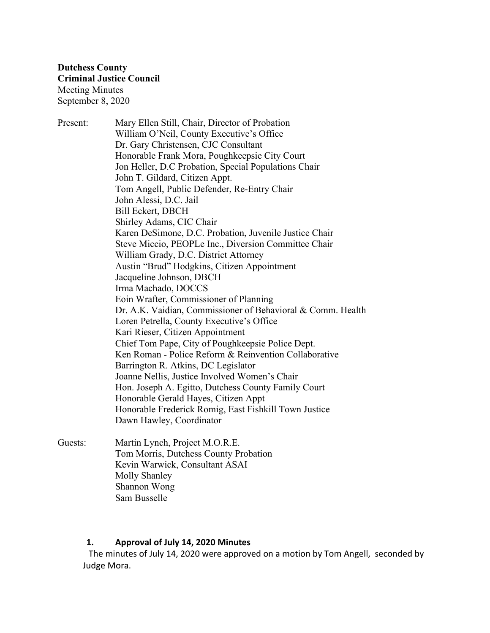Present: Mary Ellen Still, Chair, Director of Probation William O'Neil, County Executive's Office Dr. Gary Christensen, CJC Consultant Honorable Frank Mora, Poughkeepsie City Court Jon Heller, D.C Probation, Special Populations Chair John T. Gildard, Citizen Appt. Tom Angell, Public Defender, Re-Entry Chair John Alessi, D.C. Jail Bill Eckert, DBCH Shirley Adams, CIC Chair Karen DeSimone, D.C. Probation, Juvenile Justice Chair Steve Miccio, PEOPLe Inc., Diversion Committee Chair William Grady, D.C. District Attorney Austin "Brud" Hodgkins, Citizen Appointment Jacqueline Johnson, DBCH Irma Machado, DOCCS Eoin Wrafter, Commissioner of Planning Dr. A.K. Vaidian, Commissioner of Behavioral & Comm. Health Loren Petrella, County Executive's Office Kari Rieser, Citizen Appointment Chief Tom Pape, City of Poughkeepsie Police Dept. Ken Roman - Police Reform & Reinvention Collaborative Barrington R. Atkins, DC Legislator Joanne Nellis, Justice Involved Women's Chair Hon. Joseph A. Egitto, Dutchess County Family Court Honorable Gerald Hayes, Citizen Appt Honorable Frederick Romig, East Fishkill Town Justice Dawn Hawley, Coordinator

Guests: Martin Lynch, Project M.O.R.E. Tom Morris, Dutchess County Probation Kevin Warwick, Consultant ASAI Molly Shanley Shannon Wong Sam Busselle

#### **1. Approval of July 14, 2020 Minutes**

The minutes of July 14, 2020 were approved on a motion by Tom Angell, seconded by Judge Mora.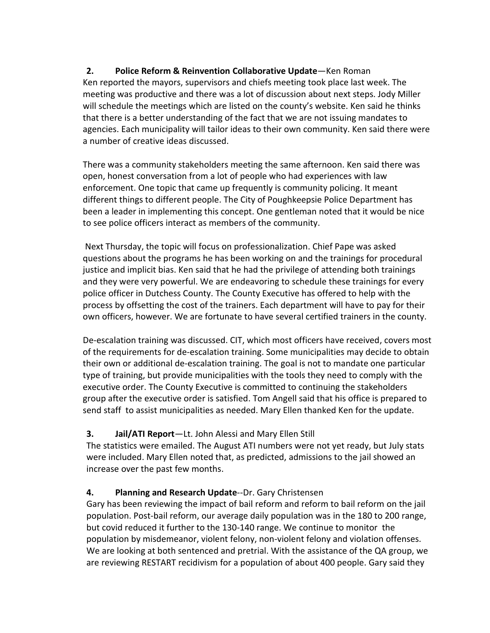**2. Police Reform & Reinvention Collaborative Update**—Ken Roman Ken reported the mayors, supervisors and chiefs meeting took place last week. The meeting was productive and there was a lot of discussion about next steps. Jody Miller will schedule the meetings which are listed on the county's website. Ken said he thinks that there is a better understanding of the fact that we are not issuing mandates to agencies. Each municipality will tailor ideas to their own community. Ken said there were a number of creative ideas discussed.

There was a community stakeholders meeting the same afternoon. Ken said there was open, honest conversation from a lot of people who had experiences with law enforcement. One topic that came up frequently is community policing. It meant different things to different people. The City of Poughkeepsie Police Department has been a leader in implementing this concept. One gentleman noted that it would be nice to see police officers interact as members of the community.

Next Thursday, the topic will focus on professionalization. Chief Pape was asked questions about the programs he has been working on and the trainings for procedural justice and implicit bias. Ken said that he had the privilege of attending both trainings and they were very powerful. We are endeavoring to schedule these trainings for every police officer in Dutchess County. The County Executive has offered to help with the process by offsetting the cost of the trainers. Each department will have to pay for their own officers, however. We are fortunate to have several certified trainers in the county.

De-escalation training was discussed. CIT, which most officers have received, covers most of the requirements for de-escalation training. Some municipalities may decide to obtain their own or additional de-escalation training. The goal is not to mandate one particular type of training, but provide municipalities with the tools they need to comply with the executive order. The County Executive is committed to continuing the stakeholders group after the executive order is satisfied. Tom Angell said that his office is prepared to send staff to assist municipalities as needed. Mary Ellen thanked Ken for the update.

# **3. Jail/ATI Report**—Lt. John Alessi and Mary Ellen Still

The statistics were emailed. The August ATI numbers were not yet ready, but July stats were included. Mary Ellen noted that, as predicted, admissions to the jail showed an increase over the past few months.

# **4. Planning and Research Update**--Dr. Gary Christensen

Gary has been reviewing the impact of bail reform and reform to bail reform on the jail population. Post-bail reform, our average daily population was in the 180 to 200 range, but covid reduced it further to the 130-140 range. We continue to monitor the population by misdemeanor, violent felony, non-violent felony and violation offenses. We are looking at both sentenced and pretrial. With the assistance of the QA group, we are reviewing RESTART recidivism for a population of about 400 people. Gary said they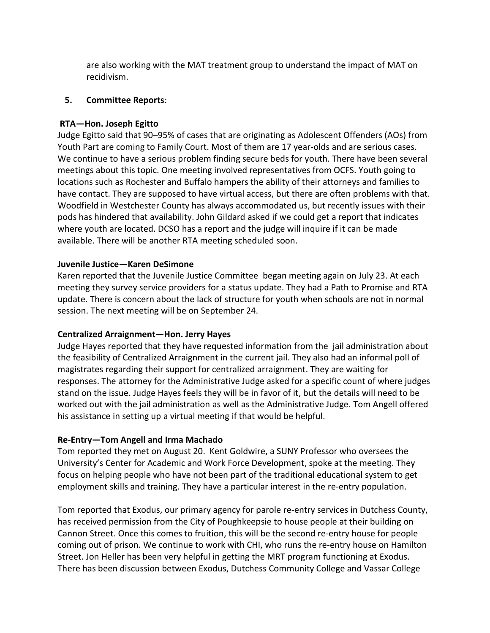are also working with the MAT treatment group to understand the impact of MAT on recidivism.

#### **5. Committee Reports**:

#### **RTA—Hon. Joseph Egitto**

Judge Egitto said that 90–95% of cases that are originating as Adolescent Offenders (AOs) from Youth Part are coming to Family Court. Most of them are 17 year-olds and are serious cases. We continue to have a serious problem finding secure beds for youth. There have been several meetings about this topic. One meeting involved representatives from OCFS. Youth going to locations such as Rochester and Buffalo hampers the ability of their attorneys and families to have contact. They are supposed to have virtual access, but there are often problems with that. Woodfield in Westchester County has always accommodated us, but recently issues with their pods has hindered that availability. John Gildard asked if we could get a report that indicates where youth are located. DCSO has a report and the judge will inquire if it can be made available. There will be another RTA meeting scheduled soon.

#### **Juvenile Justice—Karen DeSimone**

Karen reported that the Juvenile Justice Committee began meeting again on July 23. At each meeting they survey service providers for a status update. They had a Path to Promise and RTA update. There is concern about the lack of structure for youth when schools are not in normal session. The next meeting will be on September 24.

#### **Centralized Arraignment—Hon. Jerry Hayes**

Judge Hayes reported that they have requested information from the jail administration about the feasibility of Centralized Arraignment in the current jail. They also had an informal poll of magistrates regarding their support for centralized arraignment. They are waiting for responses. The attorney for the Administrative Judge asked for a specific count of where judges stand on the issue. Judge Hayes feels they will be in favor of it, but the details will need to be worked out with the jail administration as well as the Administrative Judge. Tom Angell offered his assistance in setting up a virtual meeting if that would be helpful.

#### **Re-Entry—Tom Angell and Irma Machado**

Tom reported they met on August 20. Kent Goldwire, a SUNY Professor who oversees the University's Center for Academic and Work Force Development, spoke at the meeting. They focus on helping people who have not been part of the traditional educational system to get employment skills and training. They have a particular interest in the re-entry population.

Tom reported that Exodus, our primary agency for parole re-entry services in Dutchess County, has received permission from the City of Poughkeepsie to house people at their building on Cannon Street. Once this comes to fruition, this will be the second re-entry house for people coming out of prison. We continue to work with CHI, who runs the re-entry house on Hamilton Street. Jon Heller has been very helpful in getting the MRT program functioning at Exodus. There has been discussion between Exodus, Dutchess Community College and Vassar College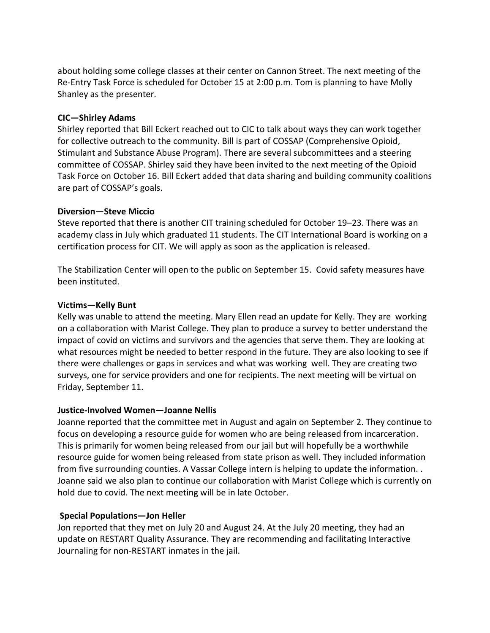about holding some college classes at their center on Cannon Street. The next meeting of the Re-Entry Task Force is scheduled for October 15 at 2:00 p.m. Tom is planning to have Molly Shanley as the presenter.

### **CIC—Shirley Adams**

Shirley reported that Bill Eckert reached out to CIC to talk about ways they can work together for collective outreach to the community. Bill is part of COSSAP (Comprehensive Opioid, Stimulant and Substance Abuse Program). There are several subcommittees and a steering committee of COSSAP. Shirley said they have been invited to the next meeting of the Opioid Task Force on October 16. Bill Eckert added that data sharing and building community coalitions are part of COSSAP's goals.

#### **Diversion—Steve Miccio**

Steve reported that there is another CIT training scheduled for October 19–23. There was an academy class in July which graduated 11 students. The CIT International Board is working on a certification process for CIT. We will apply as soon as the application is released.

The Stabilization Center will open to the public on September 15. Covid safety measures have been instituted.

### **Victims—Kelly Bunt**

Kelly was unable to attend the meeting. Mary Ellen read an update for Kelly. They are working on a collaboration with Marist College. They plan to produce a survey to better understand the impact of covid on victims and survivors and the agencies that serve them. They are looking at what resources might be needed to better respond in the future. They are also looking to see if there were challenges or gaps in services and what was working well. They are creating two surveys, one for service providers and one for recipients. The next meeting will be virtual on Friday, September 11.

# **Justice-Involved Women—Joanne Nellis**

Joanne reported that the committee met in August and again on September 2. They continue to focus on developing a resource guide for women who are being released from incarceration. This is primarily for women being released from our jail but will hopefully be a worthwhile resource guide for women being released from state prison as well. They included information from five surrounding counties. A Vassar College intern is helping to update the information. . Joanne said we also plan to continue our collaboration with Marist College which is currently on hold due to covid. The next meeting will be in late October.

# **Special Populations—Jon Heller**

Jon reported that they met on July 20 and August 24. At the July 20 meeting, they had an update on RESTART Quality Assurance. They are recommending and facilitating Interactive Journaling for non-RESTART inmates in the jail.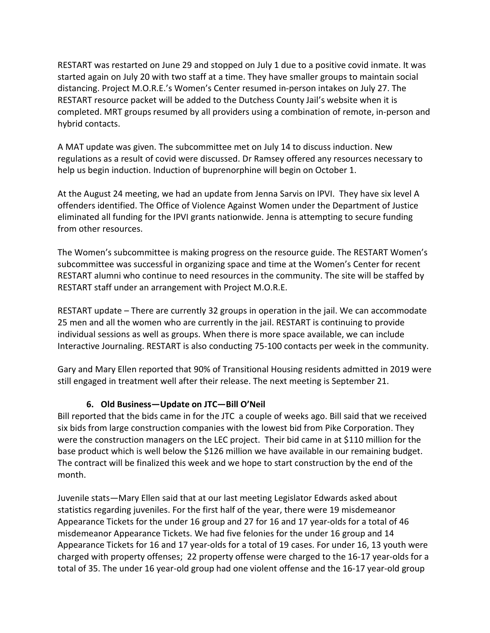RESTART was restarted on June 29 and stopped on July 1 due to a positive covid inmate. It was started again on July 20 with two staff at a time. They have smaller groups to maintain social distancing. Project M.O.R.E.'s Women's Center resumed in-person intakes on July 27. The RESTART resource packet will be added to the Dutchess County Jail's website when it is completed. MRT groups resumed by all providers using a combination of remote, in-person and hybrid contacts.

A MAT update was given. The subcommittee met on July 14 to discuss induction. New regulations as a result of covid were discussed. Dr Ramsey offered any resources necessary to help us begin induction. Induction of buprenorphine will begin on October 1.

At the August 24 meeting, we had an update from Jenna Sarvis on IPVI. They have six level A offenders identified. The Office of Violence Against Women under the Department of Justice eliminated all funding for the IPVI grants nationwide. Jenna is attempting to secure funding from other resources.

The Women's subcommittee is making progress on the resource guide. The RESTART Women's subcommittee was successful in organizing space and time at the Women's Center for recent RESTART alumni who continue to need resources in the community. The site will be staffed by RESTART staff under an arrangement with Project M.O.R.E.

RESTART update – There are currently 32 groups in operation in the jail. We can accommodate 25 men and all the women who are currently in the jail. RESTART is continuing to provide individual sessions as well as groups. When there is more space available, we can include Interactive Journaling. RESTART is also conducting 75-100 contacts per week in the community.

Gary and Mary Ellen reported that 90% of Transitional Housing residents admitted in 2019 were still engaged in treatment well after their release. The next meeting is September 21.

# **6. Old Business—Update on JTC—Bill O'Neil**

Bill reported that the bids came in for the JTC a couple of weeks ago. Bill said that we received six bids from large construction companies with the lowest bid from Pike Corporation. They were the construction managers on the LEC project. Their bid came in at \$110 million for the base product which is well below the \$126 million we have available in our remaining budget. The contract will be finalized this week and we hope to start construction by the end of the month.

Juvenile stats—Mary Ellen said that at our last meeting Legislator Edwards asked about statistics regarding juveniles. For the first half of the year, there were 19 misdemeanor Appearance Tickets for the under 16 group and 27 for 16 and 17 year-olds for a total of 46 misdemeanor Appearance Tickets. We had five felonies for the under 16 group and 14 Appearance Tickets for 16 and 17 year-olds for a total of 19 cases. For under 16, 13 youth were charged with property offenses; 22 property offense were charged to the 16-17 year-olds for a total of 35. The under 16 year-old group had one violent offense and the 16-17 year-old group